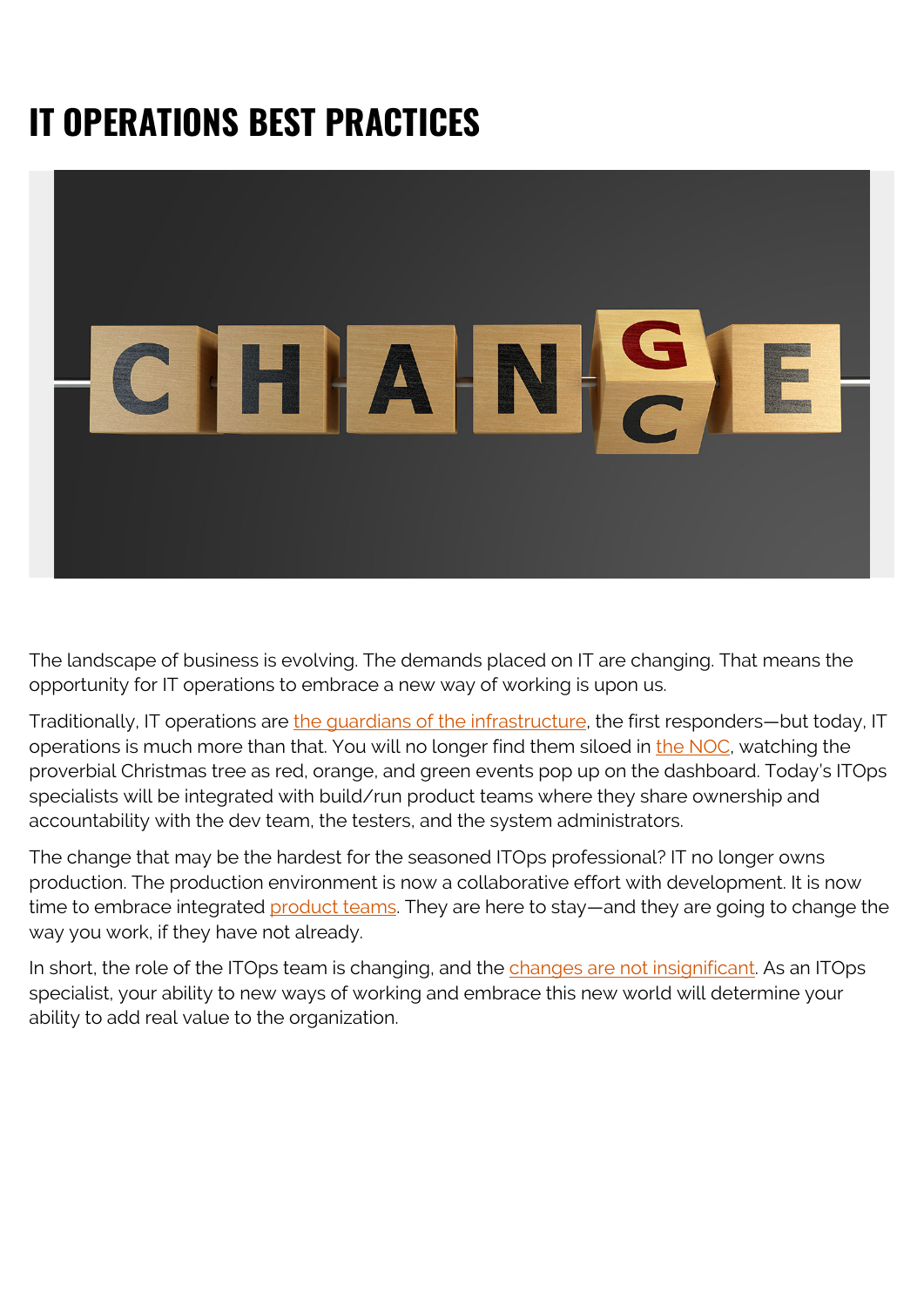## **IT OPERATIONS BEST PRACTICES**



The landscape of business is evolving. The demands placed on IT are changing. That means the opportunity for IT operations to embrace a new way of working is upon us.

Traditionally, IT operations are [the guardians of the infrastructure,](https://blogs.bmc.com/blogs/it-infrastructure-management/) the first responders—but today, IT operations is much more than that. You will no longer find them siloed in [the NOC](https://blogs.bmc.com/blogs/noc-engineer/), watching the proverbial Christmas tree as red, orange, and green events pop up on the dashboard. Today's ITOps specialists will be integrated with build/run product teams where they share ownership and accountability with the dev team, the testers, and the system administrators.

The change that may be the hardest for the seasoned ITOps professional? IT no longer owns production. The production environment is now a collaborative effort with development. It is now time to embrace integrated [product teams.](https://blogs.bmc.com/blogs/managing-it-as-a-product/) They are here to stay—and they are going to change the way you work, if they have not already.

In short, the role of the ITOps team is changing, and the [changes are not insignificant.](https://reprints2.forrester.com/#/assets/2/601/RES154115/report) As an ITOps specialist, your ability to new ways of working and embrace this new world will determine your ability to add real value to the organization.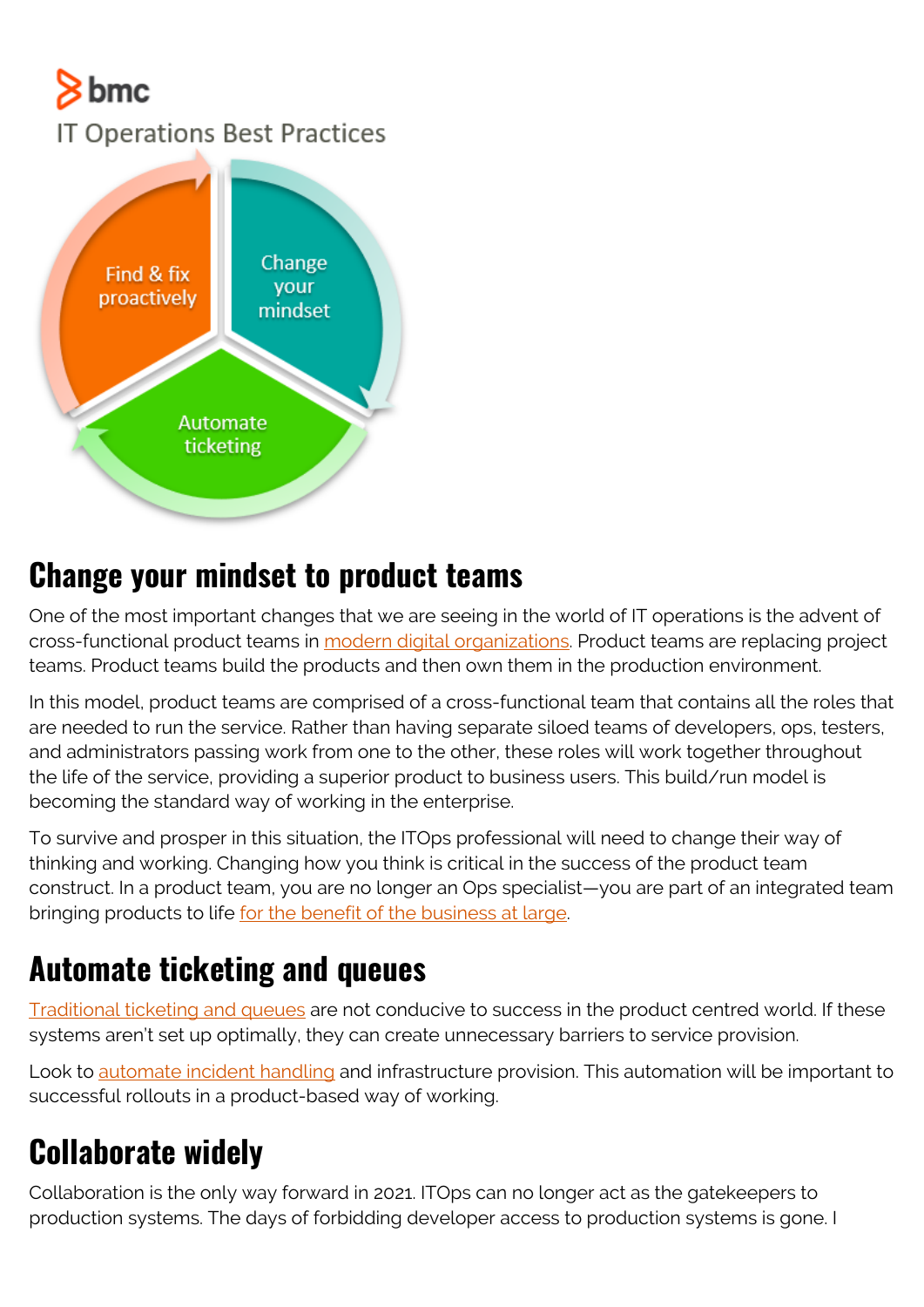# bmc

**IT Operations Best Practices** 



#### **Change your mindset to product teams**

One of the most important changes that we are seeing in the world of IT operations is the advent of cross-functional product teams in [modern digital organizations.](https://blogs.bmc.com/corporate/autonomous-digital-enterprise.html) Product teams are replacing project teams. Product teams build the products and then own them in the production environment.

In this model, product teams are comprised of a cross-functional team that contains all the roles that are needed to run the service. Rather than having separate siloed teams of developers, ops, testers, and administrators passing work from one to the other, these roles will work together throughout the life of the service, providing a superior product to business users. This build/run model is becoming the standard way of working in the enterprise.

To survive and prosper in this situation, the ITOps professional will need to change their way of thinking and working. Changing how you think is critical in the success of the product team construct. In a product team, you are no longer an Ops specialist—you are part of an integrated team bringing products to life [for the benefit of the business at large](https://blogs.bmc.com/blogs/it-business-alignment/).

## **Automate ticketing and queues**

[Traditional ticketing and queues](https://blogs.bmc.com/blogs/it-ticketing-systems/) are not conducive to success in the product centred world. If these systems aren't set up optimally, they can create unnecessary barriers to service provision.

Look to [automate incident handling](https://blogs.bmc.com/blogs/service-desk-automation/) and infrastructure provision. This automation will be important to successful rollouts in a product-based way of working.

## **Collaborate widely**

Collaboration is the only way forward in 2021. ITOps can no longer act as the gatekeepers to production systems. The days of forbidding developer access to production systems is gone. I